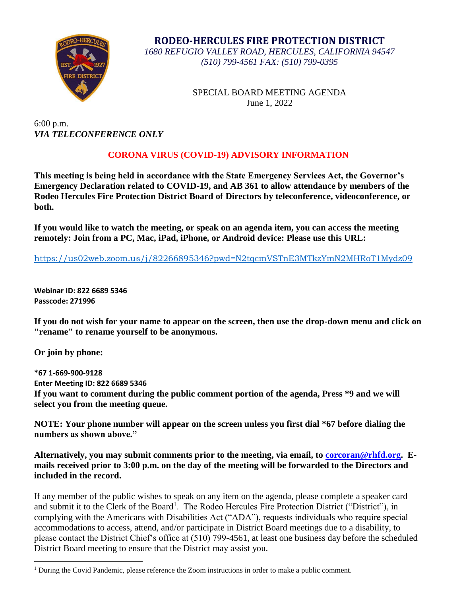

**RODEO-HERCULES FIRE PROTECTION DISTRICT** *1680 REFUGIO VALLEY ROAD, HERCULES, CALIFORNIA 94547 (510) 799-4561 FAX: (510) 799-0395*

> SPECIAL BOARD MEETING AGENDA June 1, 2022

6:00 p.m. *VIA TELECONFERENCE ONLY*

## **CORONA VIRUS (COVID-19) ADVISORY INFORMATION**

**This meeting is being held in accordance with the State Emergency Services Act, the Governor's Emergency Declaration related to COVID-19, and AB 361 to allow attendance by members of the Rodeo Hercules Fire Protection District Board of Directors by teleconference, videoconference, or both.**

**If you would like to watch the meeting, or speak on an agenda item, you can access the meeting remotely: Join from a PC, Mac, iPad, iPhone, or Android device: Please use this URL:**

<https://us02web.zoom.us/j/82266895346?pwd=N2tqcmVSTnE3MTkzYmN2MHRoT1Mydz09>

**Webinar ID: 822 6689 5346 Passcode: 271996**

**If you do not wish for your name to appear on the screen, then use the drop-down menu and click on "rename" to rename yourself to be anonymous.**

**Or join by phone:**

 $\overline{a}$ 

**\*67 1-669-900-9128 Enter Meeting ID: 822 6689 5346 If you want to comment during the public comment portion of the agenda, Press \*9 and we will select you from the meeting queue.**

**NOTE: Your phone number will appear on the screen unless you first dial \*67 before dialing the numbers as shown above."**

**Alternatively, you may submit comments prior to the meeting, via email, to [corcoran@rhfd.org.](mailto:corcoran@rhfd.org) Emails received prior to 3:00 p.m. on the day of the meeting will be forwarded to the Directors and included in the record.**

If any member of the public wishes to speak on any item on the agenda, please complete a speaker card and submit it to the Clerk of the Board<sup>1</sup>. The Rodeo Hercules Fire Protection District ("District"), in complying with the Americans with Disabilities Act ("ADA"), requests individuals who require special accommodations to access, attend, and/or participate in District Board meetings due to a disability, to please contact the District Chief's office at (510) 799-4561, at least one business day before the scheduled District Board meeting to ensure that the District may assist you.

<sup>&</sup>lt;sup>1</sup> During the Covid Pandemic, please reference the Zoom instructions in order to make a public comment.